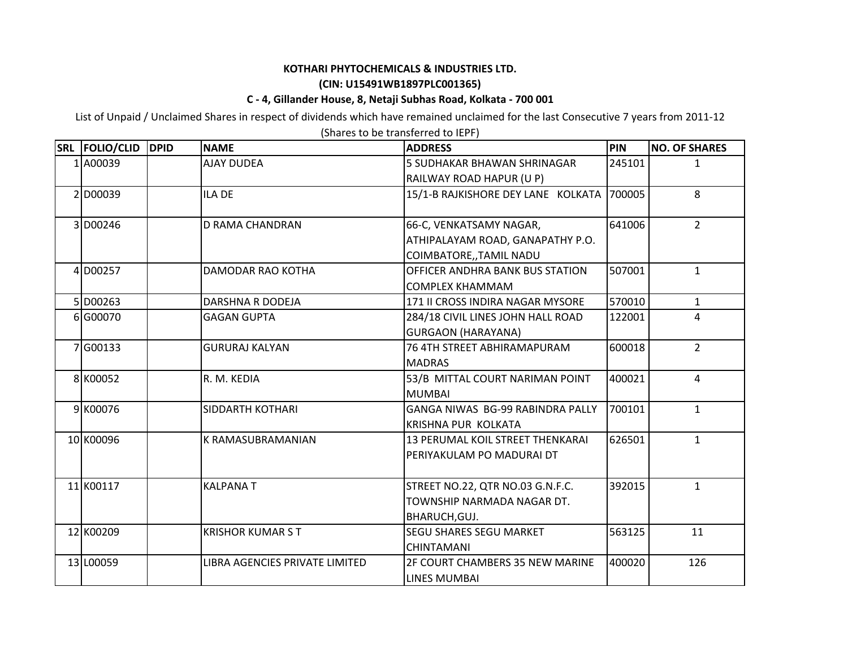## **KOTHARI PHYTOCHEMICALS & INDUSTRIES LTD.**

## **(CIN: U15491WB1897PLC001365)**

## **C ‐ 4, Gillander House, 8, Netaji Subhas Road, Kolkata ‐ 700 001**

List of Unpaid / Unclaimed Shares in respect of dividends which have remained unclaimed for the last Consecutive 7 years from 2011‐12

| SRL FOLIO/CLID | <b>DPID</b> | <b>NAME</b>                    | <b>ADDRESS</b>                            | PIN    | <b>NO. OF SHARES</b> |
|----------------|-------------|--------------------------------|-------------------------------------------|--------|----------------------|
| 1 A00039       |             | <b>AJAY DUDEA</b>              | <b>5 SUDHAKAR BHAWAN SHRINAGAR</b>        | 245101 | 1                    |
|                |             |                                | RAILWAY ROAD HAPUR (U P)                  |        |                      |
| 2 D00039       |             | <b>ILA DE</b>                  | 15/1-B RAJKISHORE DEY LANE KOLKATA 700005 |        | 8                    |
|                |             |                                |                                           |        |                      |
| 3 D00246       |             | <b>D RAMA CHANDRAN</b>         | 66-C, VENKATSAMY NAGAR,                   | 641006 | $2^{\circ}$          |
|                |             |                                | ATHIPALAYAM ROAD, GANAPATHY P.O.          |        |                      |
|                |             |                                | COIMBATORE,, TAMIL NADU                   |        |                      |
| 4 D00257       |             | DAMODAR RAO KOTHA              | OFFICER ANDHRA BANK BUS STATION           | 507001 | $\mathbf{1}$         |
|                |             |                                | <b>COMPLEX KHAMMAM</b>                    |        |                      |
| 5 D00263       |             | DARSHNA R DODEJA               | 171 II CROSS INDIRA NAGAR MYSORE          | 570010 | $\mathbf{1}$         |
| 6 G00070       |             | <b>GAGAN GUPTA</b>             | 284/18 CIVIL LINES JOHN HALL ROAD         | 122001 | $\overline{4}$       |
|                |             |                                | <b>GURGAON (HARAYANA)</b>                 |        |                      |
| 7 G00133       |             | <b>GURURAJ KALYAN</b>          | 76 4TH STREET ABHIRAMAPURAM               | 600018 | $2^{\circ}$          |
|                |             |                                | <b>MADRAS</b>                             |        |                      |
| 8 K00052       |             | R. M. KEDIA                    | 53/B MITTAL COURT NARIMAN POINT           | 400021 | $\overline{4}$       |
|                |             |                                | <b>MUMBAI</b>                             |        |                      |
| 9 K00076       |             | SIDDARTH KOTHARI               | GANGA NIWAS BG-99 RABINDRA PALLY          | 700101 | $\mathbf{1}$         |
|                |             |                                | KRISHNA PUR KOLKATA                       |        |                      |
| 10 K00096      |             | K RAMASUBRAMANIAN              | 13 PERUMAL KOIL STREET THENKARAI          | 626501 | $\mathbf{1}$         |
|                |             |                                | PERIYAKULAM PO MADURAI DT                 |        |                      |
|                |             |                                |                                           |        |                      |
| 11 K00117      |             | <b>KALPANAT</b>                | STREET NO.22, QTR NO.03 G.N.F.C.          | 392015 | $\mathbf{1}$         |
|                |             |                                | TOWNSHIP NARMADA NAGAR DT.                |        |                      |
|                |             |                                | BHARUCH, GUJ.                             |        |                      |
| 12 K00209      |             | <b>KRISHOR KUMARST</b>         | <b>SEGU SHARES SEGU MARKET</b>            | 563125 | 11                   |
|                |             |                                | <b>CHINTAMANI</b>                         |        |                      |
| 13 L00059      |             | LIBRA AGENCIES PRIVATE LIMITED | <b>2F COURT CHAMBERS 35 NEW MARINE</b>    | 400020 | 126                  |
|                |             |                                | <b>LINES MUMBAI</b>                       |        |                      |

(Shares to be transferred to IEPF)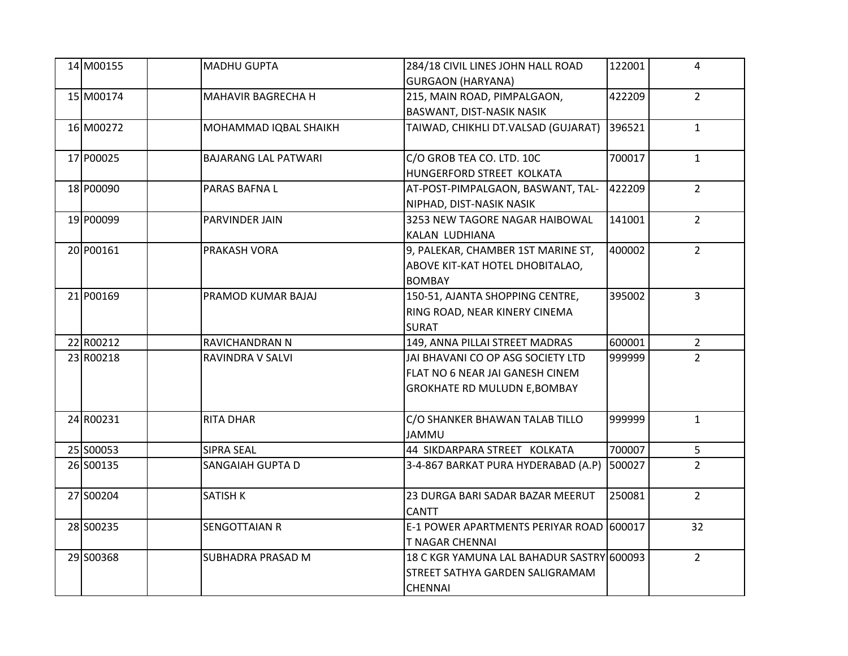| 14 M00155 | <b>MADHU GUPTA</b>          | 284/18 CIVIL LINES JOHN HALL ROAD         | 122001 | 4              |
|-----------|-----------------------------|-------------------------------------------|--------|----------------|
|           |                             | <b>GURGAON (HARYANA)</b>                  |        |                |
| 15 M00174 | MAHAVIR BAGRECHA H          | 215, MAIN ROAD, PIMPALGAON,               | 422209 | $2^{\circ}$    |
|           |                             | <b>BASWANT, DIST-NASIK NASIK</b>          |        |                |
| 16 M00272 | MOHAMMAD IQBAL SHAIKH       | TAIWAD, CHIKHLI DT.VALSAD (GUJARAT)       | 396521 | $\mathbf{1}$   |
| 17 P00025 | <b>BAJARANG LAL PATWARI</b> | C/O GROB TEA CO. LTD. 10C                 | 700017 | $\mathbf{1}$   |
|           |                             | HUNGERFORD STREET KOLKATA                 |        |                |
| 18 P00090 | PARAS BAFNA L               | AT-POST-PIMPALGAON, BASWANT, TAL-         | 422209 | $2^{\circ}$    |
|           |                             | NIPHAD, DIST-NASIK NASIK                  |        |                |
| 19 P00099 | PARVINDER JAIN              | 3253 NEW TAGORE NAGAR HAIBOWAL            | 141001 | $2^{\circ}$    |
|           |                             | KALAN LUDHIANA                            |        |                |
| 20 P00161 | PRAKASH VORA                | 9, PALEKAR, CHAMBER 1ST MARINE ST,        | 400002 | $2^{\circ}$    |
|           |                             | ABOVE KIT-KAT HOTEL DHOBITALAO,           |        |                |
|           |                             | <b>BOMBAY</b>                             |        |                |
| 21 P00169 | PRAMOD KUMAR BAJAJ          | 150-51, AJANTA SHOPPING CENTRE,           | 395002 | $\overline{3}$ |
|           |                             | RING ROAD, NEAR KINERY CINEMA             |        |                |
|           |                             | <b>SURAT</b>                              |        |                |
| 22 R00212 | RAVICHANDRAN N              | 149, ANNA PILLAI STREET MADRAS            | 600001 | $\overline{2}$ |
| 23 R00218 | RAVINDRA V SALVI            | JAI BHAVANI CO OP ASG SOCIETY LTD         | 999999 | $2^{\circ}$    |
|           |                             | FLAT NO 6 NEAR JAI GANESH CINEM           |        |                |
|           |                             | <b>GROKHATE RD MULUDN E, BOMBAY</b>       |        |                |
| 24 R00231 | <b>RITA DHAR</b>            | C/O SHANKER BHAWAN TALAB TILLO            | 999999 | $\mathbf{1}$   |
|           |                             | <b>JAMMU</b>                              |        |                |
| 25 S00053 | <b>SIPRA SEAL</b>           | 44 SIKDARPARA STREET KOLKATA              | 700007 | 5 <sub>1</sub> |
| 26 S00135 | SANGAIAH GUPTA D            | 3-4-867 BARKAT PURA HYDERABAD (A.P)       | 500027 | $\overline{2}$ |
|           |                             |                                           |        |                |
| 27 S00204 | <b>SATISH K</b>             | 23 DURGA BARI SADAR BAZAR MEERUT          | 250081 | $2^{\circ}$    |
|           |                             | <b>CANTT</b>                              |        |                |
| 28 S00235 | <b>SENGOTTAIAN R</b>        | E-1 POWER APARTMENTS PERIYAR ROAD 600017  |        | 32             |
|           |                             | <b>T NAGAR CHENNAI</b>                    |        |                |
| 29 S00368 | <b>SUBHADRA PRASAD M</b>    | 18 C KGR YAMUNA LAL BAHADUR SASTRY 600093 |        | $2^{\circ}$    |
|           |                             | <b>STREET SATHYA GARDEN SALIGRAMAM</b>    |        |                |
|           |                             | <b>CHENNAI</b>                            |        |                |